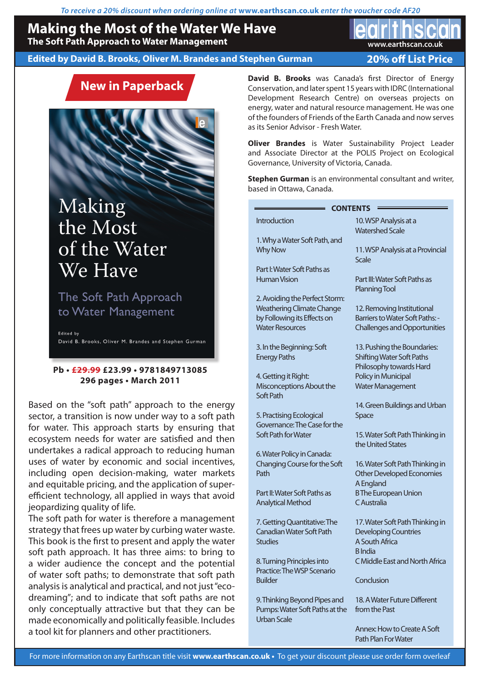*To receive a 20% discount when ordering online at* **www.earthscan.co.uk** *enter the voucher code AF20*

# **Making the Most of the Water We Have**

**The Soft Path Approach to Water Management**

## **Edited by David B. Brooks, Oliver M. Brandes and Stephen Gurman**

**20% off List Price**

**www.earthscan.co.uk**

# **New in Paperback**

# Making the Most of the Water We Have

The Soft Path Approach to Water Management

Edited by David B. Brooks, Oliver M. Brandes and Stephen Gurman

## **Pb • £29.99 £23.99 • 9781849713085 296 pages • March 2011**

Based on the "soft path" approach to the energy sector, a transition is now under way to a soft path for water. This approach starts by ensuring that ecosystem needs for water are satisfied and then undertakes a radical approach to reducing human uses of water by economic and social incentives, including open decision-making, water markets and equitable pricing, and the application of superefficient technology, all applied in ways that avoid jeopardizing quality of life.

The soft path for water is therefore a management strategy that frees up water by curbing water waste. This book is the first to present and apply the water soft path approach. It has three aims: to bring to a wider audience the concept and the potential of water soft paths; to demonstrate that soft path analysis is analytical and practical, and not just "ecodreaming"; and to indicate that soft paths are not only conceptually attractive but that they can be made economically and politically feasible. Includes a tool kit for planners and other practitioners.

**David B. Brooks** was Canada's first Director of Energy Conservation, and later spent 15 years with IDRC (International Development Research Centre) on overseas projects on energy, water and natural resource management. He was one of the founders of Friends of the Earth Canada and now serves as its Senior Advisor - Fresh Water.

**Oliver Brandes** is Water Sustainability Project Leader and Associate Director at the POLIS Project on Ecological Governance, University of Victoria, Canada.

**Stephen Gurman** is an environmental consultant and writer, based in Ottawa, Canada.

| <b>CONTENTS</b>                       |                                                       |
|---------------------------------------|-------------------------------------------------------|
| <b>Introduction</b>                   | 10. WSP Analysis at a<br><b>Watershed Scale</b>       |
| 1. Why a Water Soft Path, and         |                                                       |
| <b>Why Now</b>                        | 11. WSP Analysis at a Provincial<br>Scale             |
| Part I: Water Soft Paths as           |                                                       |
| <b>Human Vision</b>                   | Part III: Water Soft Paths as<br><b>Planning Tool</b> |
| 2. Avoiding the Perfect Storm:        |                                                       |
| <b>Weathering Climate Change</b>      | 12. Removing Institutional                            |
| by Following its Effects on           | Barriers to Water Soft Paths: -                       |
| <b>Water Resources</b>                | <b>Challenges and Opportunities</b>                   |
| 3. In the Beginning: Soft             | 13. Pushing the Boundaries:                           |
| <b>Energy Paths</b>                   | <b>Shifting Water Soft Paths</b>                      |
|                                       | Philosophy towards Hard                               |
| 4. Getting it Right:                  | Policy in Municipal                                   |
| Misconceptions About the<br>Soft Path | <b>Water Management</b>                               |
|                                       | 14. Green Buildings and Urban                         |
| 5. Practising Ecological              | Space                                                 |
| Governance: The Case for the          |                                                       |
| Soft Path for Water                   | 15. Water Soft Path Thinking in<br>the United States  |
| 6. Water Policy in Canada:            |                                                       |
| Changing Course for the Soft          | 16. Water Soft Path Thinking in                       |
| Path                                  | Other Developed Economies                             |
|                                       | A England                                             |
| Part II: Water Soft Paths as          | <b>BThe European Union</b>                            |
| <b>Analytical Method</b>              | C Australia                                           |
| 7. Getting Quantitative: The          | 17. Water Soft Path Thinking in                       |
| <b>Canadian Water Soft Path</b>       | <b>Developing Countries</b>                           |
| <b>Studies</b>                        | A South Africa                                        |
|                                       | <b>B</b> India                                        |
| 8. Turning Principles into            | C Middle East and North Africa                        |
| Practice: The WSP Scenario            |                                                       |
| <b>Builder</b>                        | Conclusion                                            |
| 9. Thinking Beyond Pipes and          | 18. A Water Future Different                          |
| Pumps: Water Soft Paths at the        | from the Past                                         |

Annex: How to Create A Soft Path Plan For Water

Urban Scale